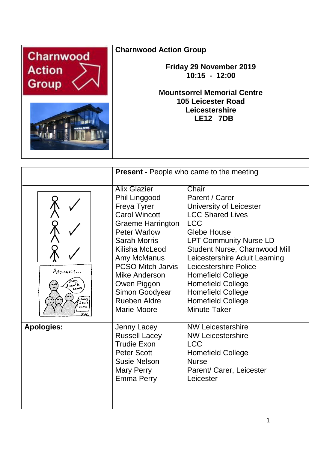

**Charnwood Action Group**

**Friday 29 November 2019 10:15 - 12:00**

**Mountsorrel Memorial Centre 105 Leicester Road Leicestershire LE12 7DB**

|                    |                                                                                                                                                                                                                                                                                                            | <b>Present - People who came to the meeting</b>                                                                                                                                                                                                                                                                                                                                      |
|--------------------|------------------------------------------------------------------------------------------------------------------------------------------------------------------------------------------------------------------------------------------------------------------------------------------------------------|--------------------------------------------------------------------------------------------------------------------------------------------------------------------------------------------------------------------------------------------------------------------------------------------------------------------------------------------------------------------------------------|
| Apologies<br>Sorry | <b>Alix Glazier</b><br>Phil Linggood<br>Freya Tyrer<br><b>Carol Wincott</b><br><b>Graeme Harrington</b><br><b>Peter Warlow</b><br><b>Sarah Morris</b><br>Kilisha McLeod<br>Amy McManus<br><b>PCSO Mitch Jarvis</b><br>Mike Anderson<br>Owen Piggon<br>Simon Goodyear<br><b>Rueben Aldre</b><br>Marie Moore | Chair<br>Parent / Carer<br>University of Leicester<br><b>LCC Shared Lives</b><br><b>LCC</b><br><b>Glebe House</b><br><b>LPT Community Nurse LD</b><br>Student Nurse, Charnwood Mill<br>Leicestershire Adult Learning<br>Leicestershire Police<br><b>Homefield College</b><br><b>Homefield College</b><br><b>Homefield College</b><br><b>Homefield College</b><br><b>Minute Taker</b> |
| <b>Apologies:</b>  | Jenny Lacey<br><b>Russell Lacey</b><br><b>Trudie Exon</b><br><b>Peter Scott</b><br>Susie Nelson<br><b>Mary Perry</b><br><b>Emma Perry</b>                                                                                                                                                                  | <b>NW Leicestershire</b><br><b>NW Leicestershire</b><br><b>LCC</b><br><b>Homefield College</b><br><b>Nurse</b><br>Parent/ Carer, Leicester<br>Leicester                                                                                                                                                                                                                              |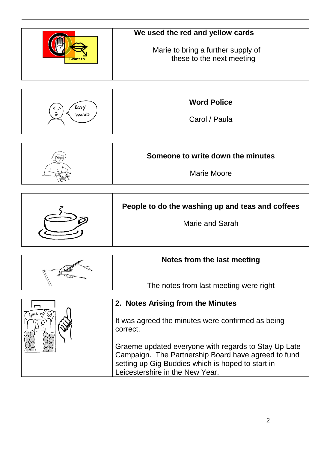|           | We used the red and yellow cards                                |  |
|-----------|-----------------------------------------------------------------|--|
| I want to | Marie to bring a further supply of<br>these to the next meeting |  |



| Someone to write down the minutes |
|-----------------------------------|
| Marie Moore                       |

| People to do the washing up and teas and coffees |
|--------------------------------------------------|
| Marie and Sarah                                  |

| Notes from the last meeting            |
|----------------------------------------|
| The notes from last meeting were right |

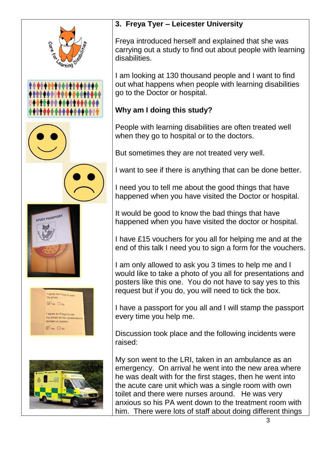

## **3. Freya Tyer – Leicester University**

Freya introduced herself and explained that she was carrying out a study to find out about people with learning disabilities.

I am looking at 130 thousand people and I want to find out what happens when people with learning disabilities go to the Doctor or hospital.

## **Why am I doing this study?**

People with learning disabilities are often treated well when they go to hospital or to the doctors.

But sometimes they are not treated very well.

I want to see if there is anything that can be done better.

I need you to tell me about the good things that have happened when you have visited the Doctor or hospital.

It would be good to know the bad things that have happened when you have visited the doctor or hospital.

I have £15 vouchers for you all for helping me and at the end of this talk I need you to sign a form for the vouchers.

I am only allowed to ask you 3 times to help me and I would like to take a photo of you all for presentations and posters like this one. You do not have to say yes to this request but if you do, you will need to tick the box.

I have a passport for you all and I will stamp the passport every time you help me.

Discussion took place and the following incidents were raised:

My son went to the LRI, taken in an ambulance as an emergency. On arrival he went into the new area where he was dealt with for the first stages, then he went into the acute care unit which was a single room with own toilet and there were nurses around. He was very anxious so his PA went down to the treatment room with him. There were lots of staff about doing different things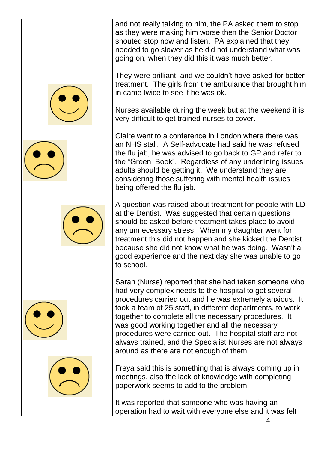and not really talking to him, the PA asked them to stop as they were making him worse then the Senior Doctor shouted stop now and listen. PA explained that they needed to go slower as he did not understand what was going on, when they did this it was much better.

They were brilliant, and we couldn't have asked for better treatment. The girls from the ambulance that brought him in came twice to see if he was ok.

Nurses available during the week but at the weekend it is very difficult to get trained nurses to cover.

Claire went to a conference in London where there was an NHS stall. A Self-advocate had said he was refused the flu jab, he was advised to go back to GP and refer to the "Green Book". Regardless of any underlining issues adults should be getting it. We understand they are considering those suffering with mental health issues being offered the flu jab.

A question was raised about treatment for people with LD at the Dentist. Was suggested that certain questions should be asked before treatment takes place to avoid any unnecessary stress. When my daughter went for treatment this did not happen and she kicked the Dentist because she did not know what he was doing. Wasn't a good experience and the next day she was unable to go to school.

Sarah (Nurse) reported that she had taken someone who had very complex needs to the hospital to get several procedures carried out and he was extremely anxious. It took a team of 25 staff, in different departments, to work together to complete all the necessary procedures. It was good working together and all the necessary procedures were carried out. The hospital staff are not always trained, and the Specialist Nurses are not always around as there are not enough of them.

Freya said this is something that is always coming up in meetings, also the lack of knowledge with completing paperwork seems to add to the problem.

It was reported that someone who was having an operation had to wait with everyone else and it was felt









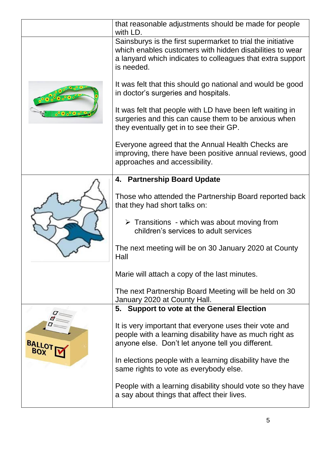|                     | that reasonable adjustments should be made for people<br>with LD.                                                                                                                                   |
|---------------------|-----------------------------------------------------------------------------------------------------------------------------------------------------------------------------------------------------|
|                     | Sainsburys is the first supermarket to trial the initiative<br>which enables customers with hidden disabilities to wear<br>a lanyard which indicates to colleagues that extra support<br>is needed. |
|                     | It was felt that this should go national and would be good<br>in doctor's surgeries and hospitals.                                                                                                  |
|                     | It was felt that people with LD have been left waiting in<br>surgeries and this can cause them to be anxious when<br>they eventually get in to see their GP.                                        |
|                     | Everyone agreed that the Annual Health Checks are<br>improving, there have been positive annual reviews, good<br>approaches and accessibility.                                                      |
|                     | 4. Partnership Board Update                                                                                                                                                                         |
|                     | Those who attended the Partnership Board reported back<br>that they had short talks on:                                                                                                             |
|                     | $\triangleright$ Transitions - which was about moving from<br>children's services to adult services                                                                                                 |
|                     | The next meeting will be on 30 January 2020 at County<br>Hall                                                                                                                                       |
|                     | Marie will attach a copy of the last minutes.                                                                                                                                                       |
|                     | The next Partnership Board Meeting will be held on 30<br>January 2020 at County Hall.                                                                                                               |
|                     | 5. Support to vote at the General Election                                                                                                                                                          |
| <b>BALLO</b><br>BOX | It is very important that everyone uses their vote and<br>people with a learning disability have as much right as<br>anyone else. Don't let anyone tell you different.                              |
|                     | In elections people with a learning disability have the<br>same rights to vote as everybody else.                                                                                                   |
|                     | People with a learning disability should vote so they have<br>a say about things that affect their lives.                                                                                           |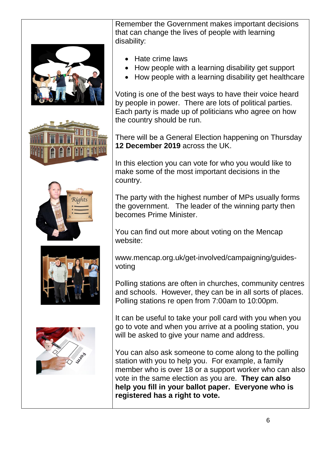









Remember the Government makes important decisions that can change the lives of people with learning disability:

- Hate crime laws
- How people with a learning disability get support
- How people with a learning disability get healthcare

Voting is one of the best ways to have their voice heard by people in power. There are lots of political parties. Each party is made up of politicians who agree on how the country should be run.

There will be a General Election happening on Thursday **12 December 2019** across the UK.

In this election you can vote for who you would like to make some of the most important decisions in the country.

The party with the highest number of MPs usually forms the government. The leader of the winning party then becomes Prime Minister.

You can find out more about voting on the Mencap website:

www.mencap.org.uk/get-involved/campaigning/guidesvoting

Polling stations are often in churches, community centres and schools. However, they can be in all sorts of places. Polling stations re open from 7:00am to 10:00pm.

It can be useful to take your poll card with you when you go to vote and when you arrive at a pooling station, you will be asked to give your name and address.

You can also ask someone to come along to the polling station with you to help you. For example, a family member who is over 18 or a support worker who can also vote in the same election as you are. **They can also help you fill in your ballot paper. Everyone who is registered has a right to vote.**